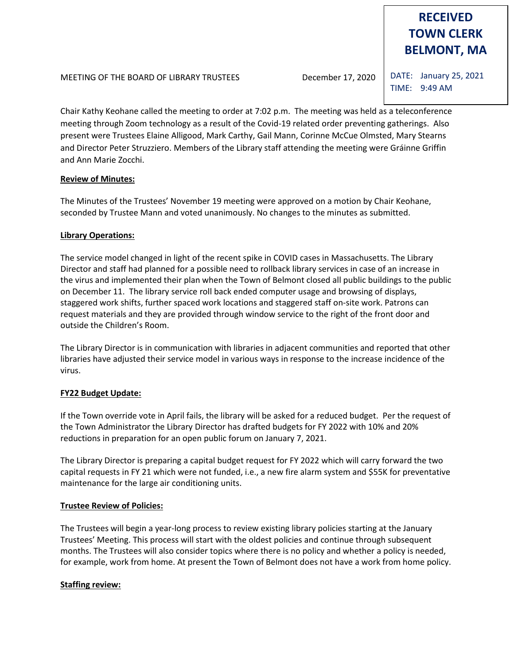# **RECEIVED TOWN CLERK BELMONT, MA**

DATE: January 25, 2021 TIME: 9:49 AM

Chair Kathy Keohane called the meeting to order at 7:02 p.m. The meeting was held as a teleconference meeting through Zoom technology as a result of the Covid-19 related order preventing gatherings. Also present were Trustees Elaine Alligood, Mark Carthy, Gail Mann, Corinne McCue Olmsted, Mary Stearns and Director Peter Struzziero. Members of the Library staff attending the meeting were Gráinne Griffin and Ann Marie Zocchi.

# **Review of Minutes:**

The Minutes of the Trustees' November 19 meeting were approved on a motion by Chair Keohane, seconded by Trustee Mann and voted unanimously. No changes to the minutes as submitted.

# **Library Operations:**

The service model changed in light of the recent spike in COVID cases in Massachusetts. The Library Director and staff had planned for a possible need to rollback library services in case of an increase in the virus and implemented their plan when the Town of Belmont closed all public buildings to the public on December 11. The library service roll back ended computer usage and browsing of displays, staggered work shifts, further spaced work locations and staggered staff on-site work. Patrons can request materials and they are provided through window service to the right of the front door and outside the Children's Room.

The Library Director is in communication with libraries in adjacent communities and reported that other libraries have adjusted their service model in various ways in response to the increase incidence of the virus.

# **FY22 Budget Update:**

If the Town override vote in April fails, the library will be asked for a reduced budget. Per the request of the Town Administrator the Library Director has drafted budgets for FY 2022 with 10% and 20% reductions in preparation for an open public forum on January 7, 2021.

The Library Director is preparing a capital budget request for FY 2022 which will carry forward the two capital requests in FY 21 which were not funded, i.e., a new fire alarm system and \$55K for preventative maintenance for the large air conditioning units.

# **Trustee Review of Policies:**

The Trustees will begin a year-long process to review existing library policies starting at the January Trustees' Meeting. This process will start with the oldest policies and continue through subsequent months. The Trustees will also consider topics where there is no policy and whether a policy is needed, for example, work from home. At present the Town of Belmont does not have a work from home policy.

# **Staffing review:**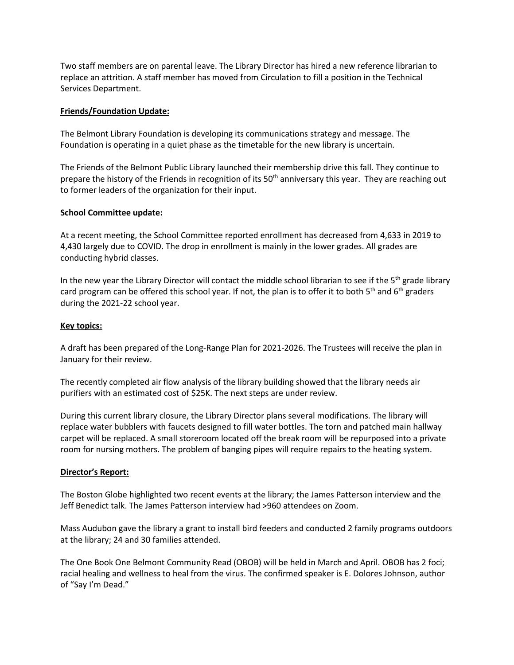Two staff members are on parental leave. The Library Director has hired a new reference librarian to replace an attrition. A staff member has moved from Circulation to fill a position in the Technical Services Department.

### **Friends/Foundation Update:**

The Belmont Library Foundation is developing its communications strategy and message. The Foundation is operating in a quiet phase as the timetable for the new library is uncertain.

The Friends of the Belmont Public Library launched their membership drive this fall. They continue to prepare the history of the Friends in recognition of its 50<sup>th</sup> anniversary this year. They are reaching out to former leaders of the organization for their input.

#### **School Committee update:**

At a recent meeting, the School Committee reported enrollment has decreased from 4,633 in 2019 to 4,430 largely due to COVID. The drop in enrollment is mainly in the lower grades. All grades are conducting hybrid classes.

In the new year the Library Director will contact the middle school librarian to see if the  $5<sup>th</sup>$  grade library card program can be offered this school year. If not, the plan is to offer it to both  $5<sup>th</sup>$  and  $6<sup>th</sup>$  graders during the 2021-22 school year.

#### **Key topics:**

A draft has been prepared of the Long-Range Plan for 2021-2026. The Trustees will receive the plan in January for their review.

The recently completed air flow analysis of the library building showed that the library needs air purifiers with an estimated cost of \$25K. The next steps are under review.

During this current library closure, the Library Director plans several modifications. The library will replace water bubblers with faucets designed to fill water bottles. The torn and patched main hallway carpet will be replaced. A small storeroom located off the break room will be repurposed into a private room for nursing mothers. The problem of banging pipes will require repairs to the heating system.

#### **Director's Report:**

The Boston Globe highlighted two recent events at the library; the James Patterson interview and the Jeff Benedict talk. The James Patterson interview had >960 attendees on Zoom.

Mass Audubon gave the library a grant to install bird feeders and conducted 2 family programs outdoors at the library; 24 and 30 families attended.

The One Book One Belmont Community Read (OBOB) will be held in March and April. OBOB has 2 foci; racial healing and wellness to heal from the virus. The confirmed speaker is E. Dolores Johnson, author of "Say I'm Dead."